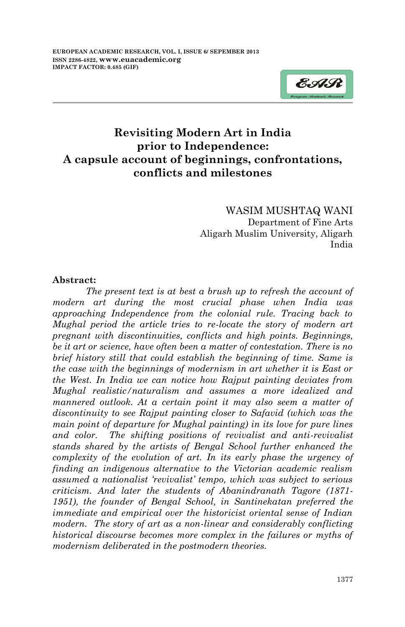

WASIM MUSHTAQ WANI Department of Fine Arts Aligarh Muslim University, Aligarh India

## **Abstract:**

*The present text is at best a brush up to refresh the account of modern art during the most crucial phase when India was approaching Independence from the colonial rule. Tracing back to Mughal period the article tries to re-locate the story of modern art pregnant with discontinuities, conflicts and high points. Beginnings, be it art or science, have often been a matter of contestation. There is no brief history still that could establish the beginning of time. Same is the case with the beginnings of modernism in art whether it is East or the West. In India we can notice how Rajput painting deviates from Mughal realistic/naturalism and assumes a more idealized and mannered outlook. At a certain point it may also seem a matter of discontinuity to see Rajput painting closer to Safavid (which was the main point of departure for Mughal painting) in its love for pure lines and color. The shifting positions of revivalist and anti-revivalist stands shared by the artists of Bengal School further enhanced the complexity of the evolution of art. In its early phase the urgency of finding an indigenous alternative to the Victorian academic realism assumed a nationalist 'revivalist' tempo, which was subject to serious criticism. And later the students of Abanindranath Tagore (1871- 1951), the founder of Bengal School, in Santinekatan preferred the immediate and empirical over the historicist oriental sense of Indian modern. The story of art as a non-linear and considerably conflicting historical discourse becomes more complex in the failures or myths of modernism deliberated in the postmodern theories.*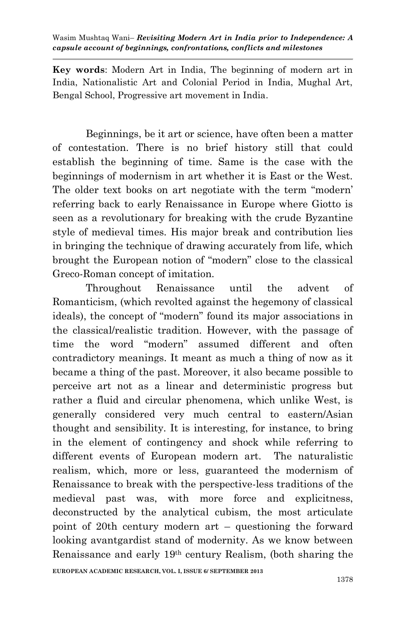**Key words**: Modern Art in India, The beginning of modern art in India, Nationalistic Art and Colonial Period in India, Mughal Art, Bengal School, Progressive art movement in India.

Beginnings, be it art or science, have often been a matter of contestation. There is no brief history still that could establish the beginning of time. Same is the case with the beginnings of modernism in art whether it is East or the West. The older text books on art negotiate with the term "modern" referring back to early Renaissance in Europe where Giotto is seen as a revolutionary for breaking with the crude Byzantine style of medieval times. His major break and contribution lies in bringing the technique of drawing accurately from life, which brought the European notion of "modern" close to the classical Greco-Roman concept of imitation.

Throughout Renaissance until the advent of Romanticism, (which revolted against the hegemony of classical ideals), the concept of "modern" found its major associations in the classical/realistic tradition. However, with the passage of time the word "modern" assumed different and often contradictory meanings. It meant as much a thing of now as it became a thing of the past. Moreover, it also became possible to perceive art not as a linear and deterministic progress but rather a fluid and circular phenomena, which unlike West, is generally considered very much central to eastern/Asian thought and sensibility. It is interesting, for instance, to bring in the element of contingency and shock while referring to different events of European modern art. The naturalistic realism, which, more or less, guaranteed the modernism of Renaissance to break with the perspective-less traditions of the medieval past was, with more force and explicitness, deconstructed by the analytical cubism, the most articulate point of 20th century modern art – questioning the forward looking avantgardist stand of modernity. As we know between Renaissance and early 19th century Realism, (both sharing the

**EUROPEAN ACADEMIC RESEARCH, VOL. I, ISSUE 6/ SEPTEMBER 2013**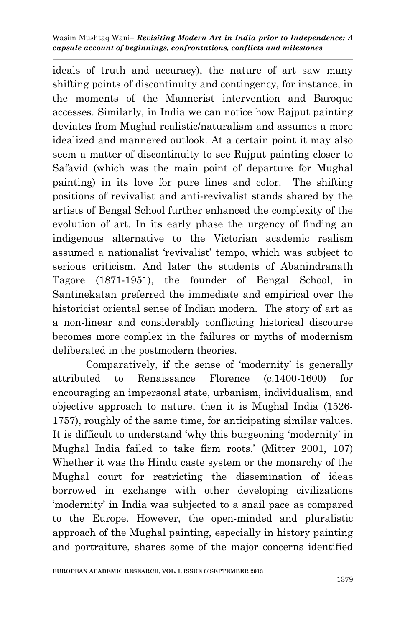ideals of truth and accuracy), the nature of art saw many shifting points of discontinuity and contingency, for instance, in the moments of the Mannerist intervention and Baroque accesses. Similarly, in India we can notice how Rajput painting deviates from Mughal realistic/naturalism and assumes a more idealized and mannered outlook. At a certain point it may also seem a matter of discontinuity to see Rajput painting closer to Safavid (which was the main point of departure for Mughal painting) in its love for pure lines and color. The shifting positions of revivalist and anti-revivalist stands shared by the artists of Bengal School further enhanced the complexity of the evolution of art. In its early phase the urgency of finding an indigenous alternative to the Victorian academic realism assumed a nationalist "revivalist" tempo, which was subject to serious criticism. And later the students of Abanindranath Tagore (1871-1951), the founder of Bengal School, in Santinekatan preferred the immediate and empirical over the historicist oriental sense of Indian modern. The story of art as a non-linear and considerably conflicting historical discourse becomes more complex in the failures or myths of modernism deliberated in the postmodern theories.

Comparatively, if the sense of 'modernity' is generally attributed to Renaissance Florence (c.1400-1600) for encouraging an impersonal state, urbanism, individualism, and objective approach to nature, then it is Mughal India (1526- 1757), roughly of the same time, for anticipating similar values. It is difficult to understand "why this burgeoning "modernity" in Mughal India failed to take firm roots.' (Mitter 2001, 107) Whether it was the Hindu caste system or the monarchy of the Mughal court for restricting the dissemination of ideas borrowed in exchange with other developing civilizations "modernity" in India was subjected to a snail pace as compared to the Europe. However, the open-minded and pluralistic approach of the Mughal painting, especially in history painting and portraiture, shares some of the major concerns identified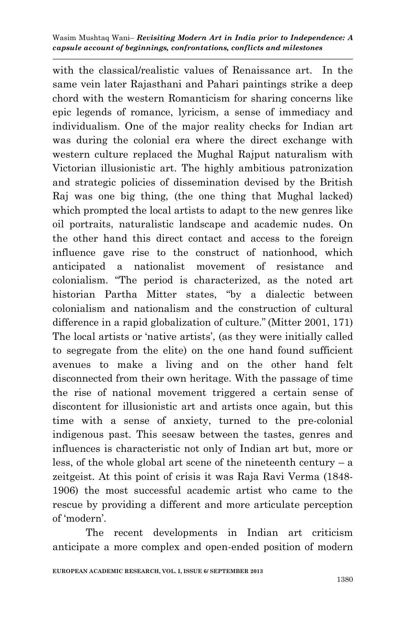with the classical/realistic values of Renaissance art. In the same vein later Rajasthani and Pahari paintings strike a deep chord with the western Romanticism for sharing concerns like epic legends of romance, lyricism, a sense of immediacy and individualism. One of the major reality checks for Indian art was during the colonial era where the direct exchange with western culture replaced the Mughal Rajput naturalism with Victorian illusionistic art. The highly ambitious patronization and strategic policies of dissemination devised by the British Raj was one big thing, (the one thing that Mughal lacked) which prompted the local artists to adapt to the new genres like oil portraits, naturalistic landscape and academic nudes. On the other hand this direct contact and access to the foreign influence gave rise to the construct of nationhood, which anticipated a nationalist movement of resistance and colonialism. "The period is characterized, as the noted art historian Partha Mitter states, "by a dialectic between colonialism and nationalism and the construction of cultural difference in a rapid globalization of culture." (Mitter 2001, 171) The local artists or 'native artists', (as they were initially called to segregate from the elite) on the one hand found sufficient avenues to make a living and on the other hand felt disconnected from their own heritage. With the passage of time the rise of national movement triggered a certain sense of discontent for illusionistic art and artists once again, but this time with a sense of anxiety, turned to the pre-colonial indigenous past. This seesaw between the tastes, genres and influences is characteristic not only of Indian art but, more or less, of the whole global art scene of the nineteenth century – a zeitgeist. At this point of crisis it was Raja Ravi Verma (1848- 1906) the most successful academic artist who came to the rescue by providing a different and more articulate perception of "modern".

The recent developments in Indian art criticism anticipate a more complex and open-ended position of modern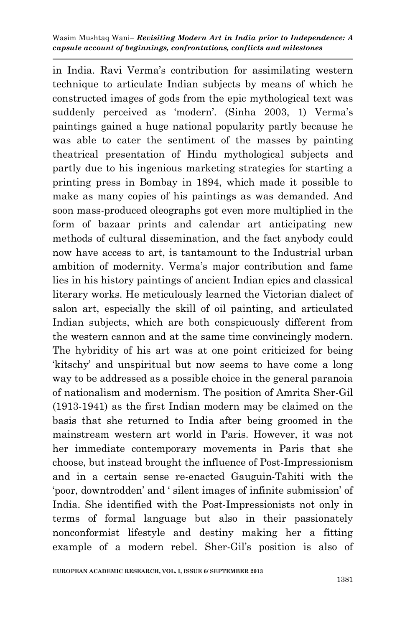in India. Ravi Verma's contribution for assimilating western technique to articulate Indian subjects by means of which he constructed images of gods from the epic mythological text was suddenly perceived as 'modern'. (Sinha 2003, 1) Verma's paintings gained a huge national popularity partly because he was able to cater the sentiment of the masses by painting theatrical presentation of Hindu mythological subjects and partly due to his ingenious marketing strategies for starting a printing press in Bombay in 1894, which made it possible to make as many copies of his paintings as was demanded. And soon mass-produced oleographs got even more multiplied in the form of bazaar prints and calendar art anticipating new methods of cultural dissemination, and the fact anybody could now have access to art, is tantamount to the Industrial urban ambition of modernity. Verma's major contribution and fame lies in his history paintings of ancient Indian epics and classical literary works. He meticulously learned the Victorian dialect of salon art, especially the skill of oil painting, and articulated Indian subjects, which are both conspicuously different from the western cannon and at the same time convincingly modern. The hybridity of his art was at one point criticized for being "kitschy" and unspiritual but now seems to have come a long way to be addressed as a possible choice in the general paranoia of nationalism and modernism. The position of Amrita Sher-Gil (1913-1941) as the first Indian modern may be claimed on the basis that she returned to India after being groomed in the mainstream western art world in Paris. However, it was not her immediate contemporary movements in Paris that she choose, but instead brought the influence of Post-Impressionism and in a certain sense re-enacted Gauguin-Tahiti with the "poor, downtrodden" and " silent images of infinite submission" of India. She identified with the Post-Impressionists not only in terms of formal language but also in their passionately nonconformist lifestyle and destiny making her a fitting example of a modern rebel. Sher-Gil"s position is also of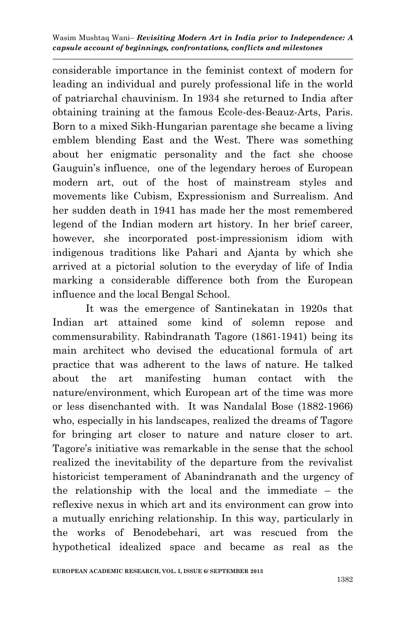considerable importance in the feminist context of modern for leading an individual and purely professional life in the world of patriarchal chauvinism. In 1934 she returned to India after obtaining training at the famous Ecole-des-Beauz-Arts, Paris. Born to a mixed Sikh-Hungarian parentage she became a living emblem blending East and the West. There was something about her enigmatic personality and the fact she choose Gauguin's influence, one of the legendary heroes of European modern art, out of the host of mainstream styles and movements like Cubism, Expressionism and Surrealism. And her sudden death in 1941 has made her the most remembered legend of the Indian modern art history. In her brief career, however, she incorporated post-impressionism idiom with indigenous traditions like Pahari and Ajanta by which she arrived at a pictorial solution to the everyday of life of India marking a considerable difference both from the European influence and the local Bengal School.

It was the emergence of Santinekatan in 1920s that Indian art attained some kind of solemn repose and commensurability. Rabindranath Tagore (1861-1941) being its main architect who devised the educational formula of art practice that was adherent to the laws of nature. He talked about the art manifesting human contact with the nature/environment, which European art of the time was more or less disenchanted with. It was Nandalal Bose (1882-1966) who, especially in his landscapes, realized the dreams of Tagore for bringing art closer to nature and nature closer to art. Tagore's initiative was remarkable in the sense that the school realized the inevitability of the departure from the revivalist historicist temperament of Abanindranath and the urgency of the relationship with the local and the immediate – the reflexive nexus in which art and its environment can grow into a mutually enriching relationship. In this way, particularly in the works of Benodebehari, art was rescued from the hypothetical idealized space and became as real as the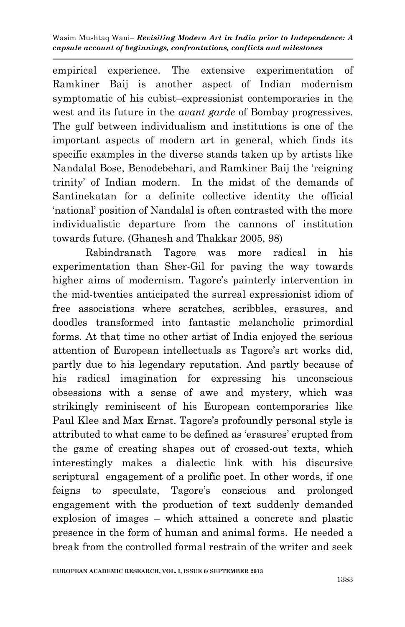empirical experience. The extensive experimentation of Ramkiner Baij is another aspect of Indian modernism symptomatic of his cubist–expressionist contemporaries in the west and its future in the *avant garde* of Bombay progressives. The gulf between individualism and institutions is one of the important aspects of modern art in general, which finds its specific examples in the diverse stands taken up by artists like Nandalal Bose, Benodebehari, and Ramkiner Baij the "reigning trinity" of Indian modern. In the midst of the demands of Santinekatan for a definite collective identity the official "national" position of Nandalal is often contrasted with the more individualistic departure from the cannons of institution towards future. (Ghanesh and Thakkar 2005, 98)

Rabindranath Tagore was more radical in his experimentation than Sher-Gil for paving the way towards higher aims of modernism. Tagore's painterly intervention in the mid-twenties anticipated the surreal expressionist idiom of free associations where scratches, scribbles, erasures, and doodles transformed into fantastic melancholic primordial forms. At that time no other artist of India enjoyed the serious attention of European intellectuals as Tagore's art works did, partly due to his legendary reputation. And partly because of his radical imagination for expressing his unconscious obsessions with a sense of awe and mystery, which was strikingly reminiscent of his European contemporaries like Paul Klee and Max Ernst. Tagore's profoundly personal style is attributed to what came to be defined as 'erasures' erupted from the game of creating shapes out of crossed-out texts, which interestingly makes a dialectic link with his discursive scriptural engagement of a prolific poet. In other words, if one feigns to speculate, Tagore"s conscious and prolonged engagement with the production of text suddenly demanded explosion of images – which attained a concrete and plastic presence in the form of human and animal forms. He needed a break from the controlled formal restrain of the writer and seek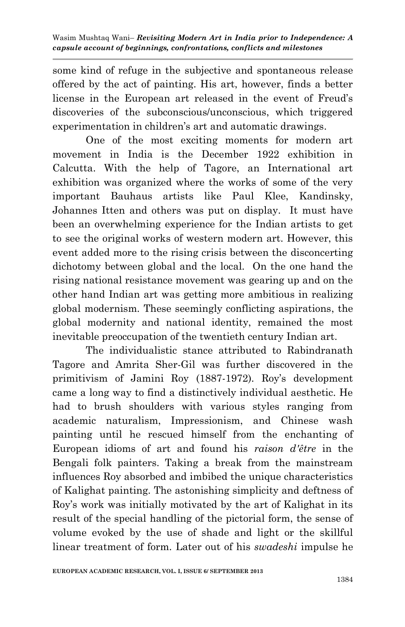some kind of refuge in the subjective and spontaneous release offered by the act of painting. His art, however, finds a better license in the European art released in the event of Freud"s discoveries of the subconscious/unconscious, which triggered experimentation in children's art and automatic drawings.

One of the most exciting moments for modern art movement in India is the December 1922 exhibition in Calcutta. With the help of Tagore, an International art exhibition was organized where the works of some of the very important Bauhaus artists like Paul Klee, Kandinsky, Johannes Itten and others was put on display. It must have been an overwhelming experience for the Indian artists to get to see the original works of western modern art. However, this event added more to the rising crisis between the disconcerting dichotomy between global and the local. On the one hand the rising national resistance movement was gearing up and on the other hand Indian art was getting more ambitious in realizing global modernism. These seemingly conflicting aspirations, the global modernity and national identity, remained the most inevitable preoccupation of the twentieth century Indian art.

The individualistic stance attributed to Rabindranath Tagore and Amrita Sher-Gil was further discovered in the primitivism of Jamini Roy (1887-1972). Roy's development came a long way to find a distinctively individual aesthetic. He had to brush shoulders with various styles ranging from academic naturalism, Impressionism, and Chinese wash painting until he rescued himself from the enchanting of European idioms of art and found his *raison d'être* in the Bengali folk painters. Taking a break from the mainstream influences Roy absorbed and imbibed the unique characteristics of Kalighat painting. The astonishing simplicity and deftness of Roy"s work was initially motivated by the art of Kalighat in its result of the special handling of the pictorial form, the sense of volume evoked by the use of shade and light or the skillful linear treatment of form. Later out of his *swadeshi* impulse he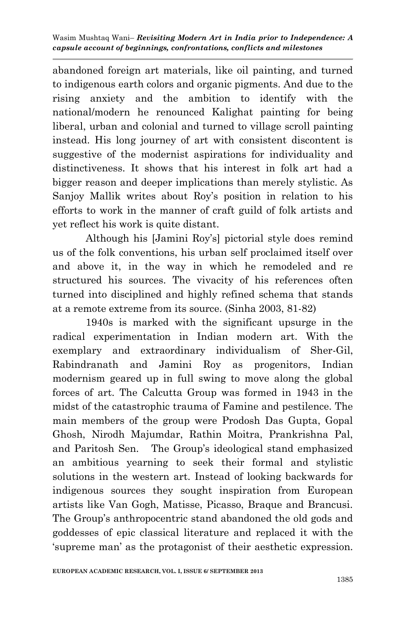abandoned foreign art materials, like oil painting, and turned to indigenous earth colors and organic pigments. And due to the rising anxiety and the ambition to identify with the national/modern he renounced Kalighat painting for being liberal, urban and colonial and turned to village scroll painting instead. His long journey of art with consistent discontent is suggestive of the modernist aspirations for individuality and distinctiveness. It shows that his interest in folk art had a bigger reason and deeper implications than merely stylistic. As Sanjoy Mallik writes about Roy's position in relation to his efforts to work in the manner of craft guild of folk artists and yet reflect his work is quite distant.

Although his [Jamini Roy"s] pictorial style does remind us of the folk conventions, his urban self proclaimed itself over and above it, in the way in which he remodeled and re structured his sources. The vivacity of his references often turned into disciplined and highly refined schema that stands at a remote extreme from its source. (Sinha 2003, 81-82)

1940s is marked with the significant upsurge in the radical experimentation in Indian modern art. With the exemplary and extraordinary individualism of Sher-Gil, Rabindranath and Jamini Roy as progenitors, Indian modernism geared up in full swing to move along the global forces of art. The Calcutta Group was formed in 1943 in the midst of the catastrophic trauma of Famine and pestilence. The main members of the group were Prodosh Das Gupta, Gopal Ghosh, Nirodh Majumdar, Rathin Moitra, Prankrishna Pal, and Paritosh Sen. The Group"s ideological stand emphasized an ambitious yearning to seek their formal and stylistic solutions in the western art. Instead of looking backwards for indigenous sources they sought inspiration from European artists like Van Gogh, Matisse, Picasso, Braque and Brancusi. The Group's anthropocentric stand abandoned the old gods and goddesses of epic classical literature and replaced it with the "supreme man" as the protagonist of their aesthetic expression.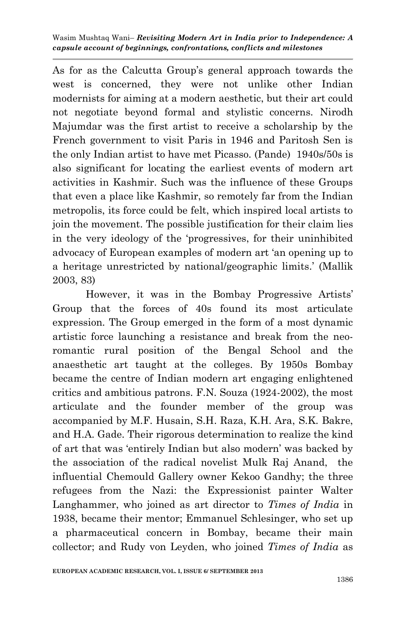As for as the Calcutta Group's general approach towards the west is concerned, they were not unlike other Indian modernists for aiming at a modern aesthetic, but their art could not negotiate beyond formal and stylistic concerns. Nirodh Majumdar was the first artist to receive a scholarship by the French government to visit Paris in 1946 and Paritosh Sen is the only Indian artist to have met Picasso. (Pande) 1940s/50s is also significant for locating the earliest events of modern art activities in Kashmir. Such was the influence of these Groups that even a place like Kashmir, so remotely far from the Indian metropolis, its force could be felt, which inspired local artists to join the movement. The possible justification for their claim lies in the very ideology of the "progressives, for their uninhibited advocacy of European examples of modern art "an opening up to a heritage unrestricted by national/geographic limits." (Mallik 2003, 83)

However, it was in the Bombay Progressive Artists" Group that the forces of 40s found its most articulate expression. The Group emerged in the form of a most dynamic artistic force launching a resistance and break from the neoromantic rural position of the Bengal School and the anaesthetic art taught at the colleges. By 1950s Bombay became the centre of Indian modern art engaging enlightened critics and ambitious patrons. F.N. Souza (1924-2002), the most articulate and the founder member of the group was accompanied by M.F. Husain, S.H. Raza, K.H. Ara, S.K. Bakre, and H.A. Gade. Their rigorous determination to realize the kind of art that was "entirely Indian but also modern" was backed by the association of the radical novelist Mulk Raj Anand, the influential Chemould Gallery owner Kekoo Gandhy; the three refugees from the Nazi: the Expressionist painter Walter Langhammer, who joined as art director to *Times of India* in 1938, became their mentor; Emmanuel Schlesinger, who set up a pharmaceutical concern in Bombay, became their main collector; and Rudy von Leyden, who joined *Times of India* as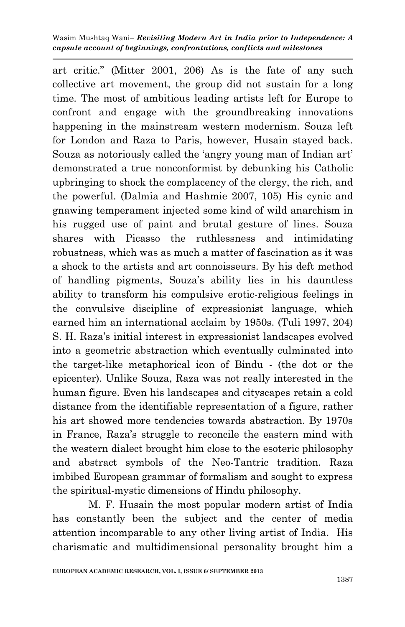art critic." (Mitter 2001, 206) As is the fate of any such collective art movement, the group did not sustain for a long time. The most of ambitious leading artists left for Europe to confront and engage with the groundbreaking innovations happening in the mainstream western modernism. Souza left for London and Raza to Paris, however, Husain stayed back. Souza as notoriously called the 'angry young man of Indian art' demonstrated a true nonconformist by debunking his Catholic upbringing to shock the complacency of the clergy, the rich, and the powerful. (Dalmia and Hashmie 2007, 105) His cynic and gnawing temperament injected some kind of wild anarchism in his rugged use of paint and brutal gesture of lines. Souza shares with Picasso the ruthlessness and intimidating robustness, which was as much a matter of fascination as it was a shock to the artists and art connoisseurs. By his deft method of handling pigments, Souza"s ability lies in his dauntless ability to transform his compulsive erotic-religious feelings in the convulsive discipline of expressionist language, which earned him an international acclaim by 1950s. (Tuli 1997, 204) S. H. Raza's initial interest in expressionist landscapes evolved into a geometric abstraction which eventually culminated into the target-like metaphorical icon of Bindu - (the dot or the epicenter). Unlike Souza, Raza was not really interested in the human figure. Even his landscapes and cityscapes retain a cold distance from the identifiable representation of a figure, rather his art showed more tendencies towards abstraction. By 1970s in France, Raza"s struggle to reconcile the eastern mind with the western dialect brought him close to the esoteric philosophy and abstract symbols of the Neo-Tantric tradition. Raza imbibed European grammar of formalism and sought to express the spiritual-mystic dimensions of Hindu philosophy.

M. F. Husain the most popular modern artist of India has constantly been the subject and the center of media attention incomparable to any other living artist of India. His charismatic and multidimensional personality brought him a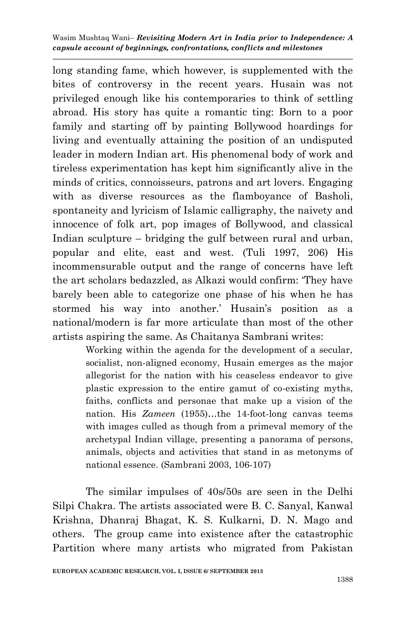long standing fame, which however, is supplemented with the bites of controversy in the recent years. Husain was not privileged enough like his contemporaries to think of settling abroad. His story has quite a romantic ting: Born to a poor family and starting off by painting Bollywood hoardings for living and eventually attaining the position of an undisputed leader in modern Indian art. His phenomenal body of work and tireless experimentation has kept him significantly alive in the minds of critics, connoisseurs, patrons and art lovers. Engaging with as diverse resources as the flamboyance of Basholi, spontaneity and lyricism of Islamic calligraphy, the naivety and innocence of folk art, pop images of Bollywood, and classical Indian sculpture – bridging the gulf between rural and urban, popular and elite, east and west. (Tuli 1997, 206) His incommensurable output and the range of concerns have left the art scholars bedazzled, as Alkazi would confirm: "They have barely been able to categorize one phase of his when he has stormed his way into another.' Husain's position as a national/modern is far more articulate than most of the other artists aspiring the same. As Chaitanya Sambrani writes:

> Working within the agenda for the development of a secular, socialist, non-aligned economy, Husain emerges as the major allegorist for the nation with his ceaseless endeavor to give plastic expression to the entire gamut of co-existing myths, faiths, conflicts and personae that make up a vision of the nation. His *Zameen* (1955)…the 14-foot-long canvas teems with images culled as though from a primeval memory of the archetypal Indian village, presenting a panorama of persons, animals, objects and activities that stand in as metonyms of national essence. (Sambrani 2003, 106-107)

The similar impulses of 40s/50s are seen in the Delhi Silpi Chakra. The artists associated were B. C. Sanyal, Kanwal Krishna, Dhanraj Bhagat, K. S. Kulkarni, D. N. Mago and others. The group came into existence after the catastrophic Partition where many artists who migrated from Pakistan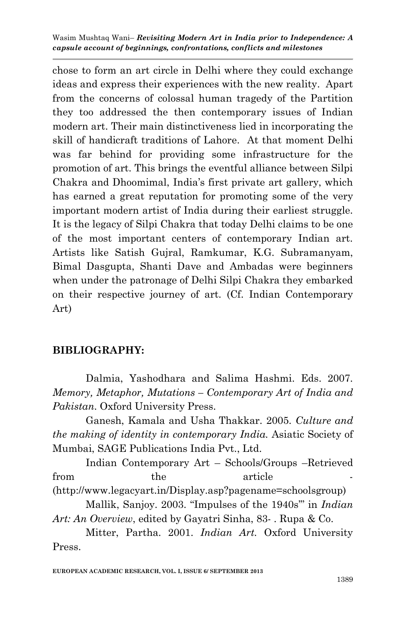chose to form an art circle in Delhi where they could exchange ideas and express their experiences with the new reality. Apart from the concerns of colossal human tragedy of the Partition they too addressed the then contemporary issues of Indian modern art. Their main distinctiveness lied in incorporating the skill of handicraft traditions of Lahore. At that moment Delhi was far behind for providing some infrastructure for the promotion of art. This brings the eventful alliance between Silpi Chakra and Dhoomimal, India"s first private art gallery, which has earned a great reputation for promoting some of the very important modern artist of India during their earliest struggle. It is the legacy of Silpi Chakra that today Delhi claims to be one of the most important centers of contemporary Indian art. Artists like Satish Gujral, Ramkumar, K.G. Subramanyam, Bimal Dasgupta, Shanti Dave and Ambadas were beginners when under the patronage of Delhi Silpi Chakra they embarked on their respective journey of art. (Cf. Indian Contemporary Art)

## **BIBLIOGRAPHY:**

Dalmia, Yashodhara and Salima Hashmi. Eds. 2007. *Memory, Metaphor, Mutations – Contemporary Art of India and Pakistan*. Oxford University Press.

Ganesh, Kamala and Usha Thakkar. 2005. *Culture and the making of identity in contemporary India.* Asiatic Society of Mumbai, SAGE Publications India Pvt., Ltd.

Indian Contemporary Art – Schools/Groups –Retrieved from the article -

(http://www.legacyart.in/Display.asp?pagename=schoolsgroup)

Mallik, Sanjoy. 2003. "Impulses of the 1940s"" in *Indian Art: An Overview*, edited by Gayatri Sinha, 83- . Rupa & Co.

Mitter, Partha. 2001. *Indian Art.* Oxford University Press.